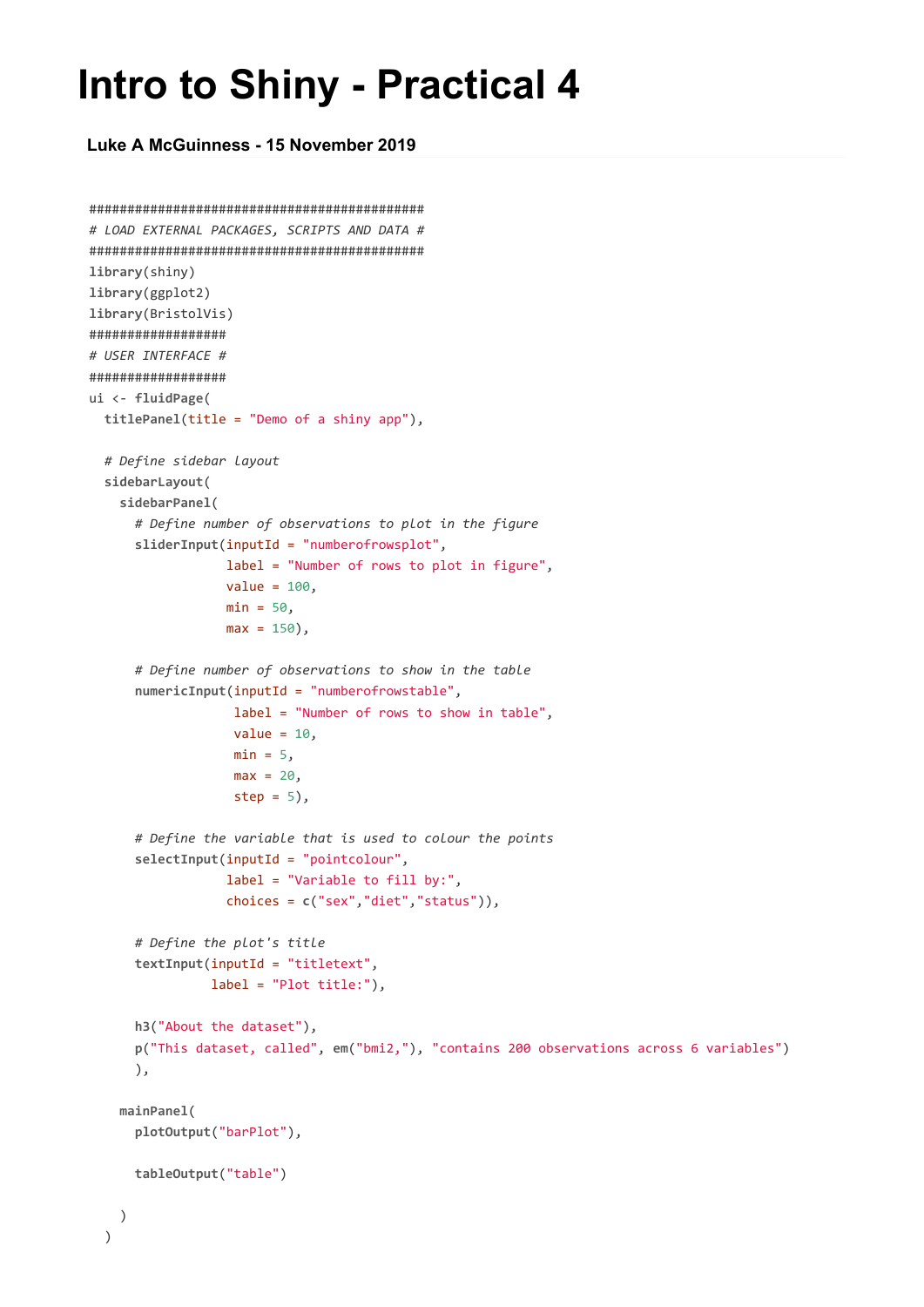## **Intro to Shiny - Practical 4**

**Luke A McGuinness - 15 November 2019**

```
############################################
# LOAD EXTERNAL PACKAGES, SCRIPTS AND DATA #
############################################
library(shiny)
library(ggplot2)
library(BristolVis)
##################
# USER INTERFACE #
##################
ui <- fluidPage(
 titlePanel(title = "Demo of a shiny app"),
  # Define sidebar layout
  sidebarLayout(
   sidebarPanel(
      # Define number of observations to plot in the figure
      sliderInput(inputId = "numberofrowsplot",
                  label = "Number of rows to plot in figure",
                  value = 100,
                  min = 50,
                  max = 150,
      # Define number of observations to show in the table
      numericInput(inputId = "numberofrowstable",
                   label = "Number of rows to show in table",
                   value = 10,
                   min = 5,
                   max = 20step = 5,
      # Define the variable that is used to colour the points
      selectInput(inputId = "pointcolour",
                  label = "Variable to fill by:",
                  choices = c("sex","diet","status")),
      # Define the plot's title
      textInput(inputId = "titletext",
                label = "Plot title:"),
      h3("About the dataset"),
      p("This dataset, called", em("bmi2,"), "contains 200 observations across 6 variables")
      ),
    mainPanel(
      plotOutput("barPlot"),
      tableOutput("table")
    )
  )
```